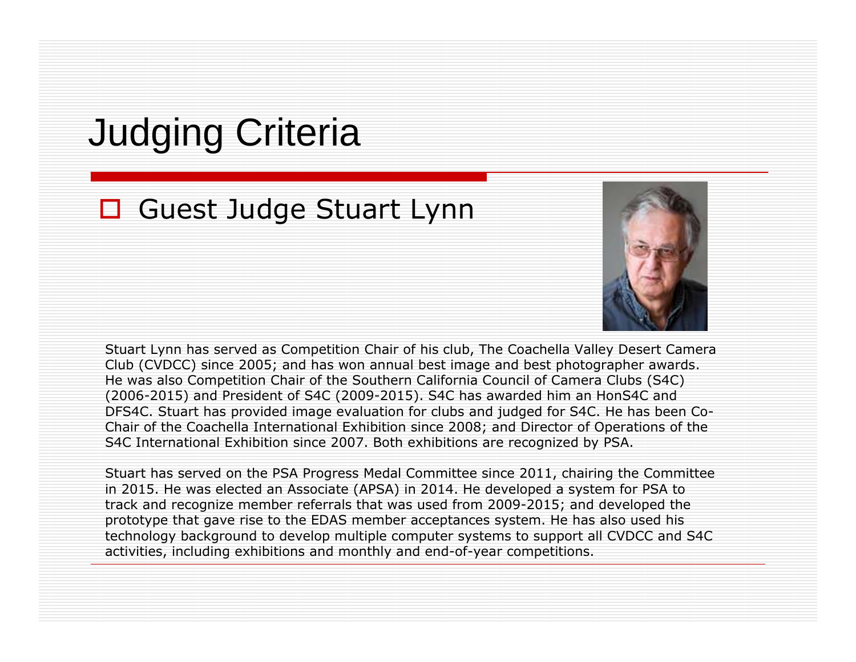## Judging Criteria

# **□** Guest Judge Stuart Lynn



Stuart Lynn has served as Competition Chair of his club, The Coachella Valley Desert Camera Club (CVDCC) since 2005; and has won annual best image and best photographer awards. He was also Competition Chair of the Southern California Council of Camera Clubs (S4C) (2006-2015) and President of S4C (2009-2015). S4C has awarded him an HonS4C and DFS4C. Stuart has provided image evaluation for clubs and judged for S4C. He has been Co-<br>Chair of the Coachella International Exhibition since 2008; and Director of Operations of the Chair of the Coachella International Exhibition since 2008; and Director of Operations of the S4C International Exhibition since 2007. Both exhibitions are recognized by PSA.

Stuart has served on the PSA Progress Medal Committee since 2011, chairing the Committee in 2015. He was elected an Associate (APSA) in 2014. He developed a system for PSA to track and recognize member referrals that was used from 2009-2015; and developed the prototype that gave rise to the EDAS member acceptances system. He has also used his technology background to develop multiple computer systems to support all CVDCC and S4C activities, including exhibitions and monthly and end-of-year competitions.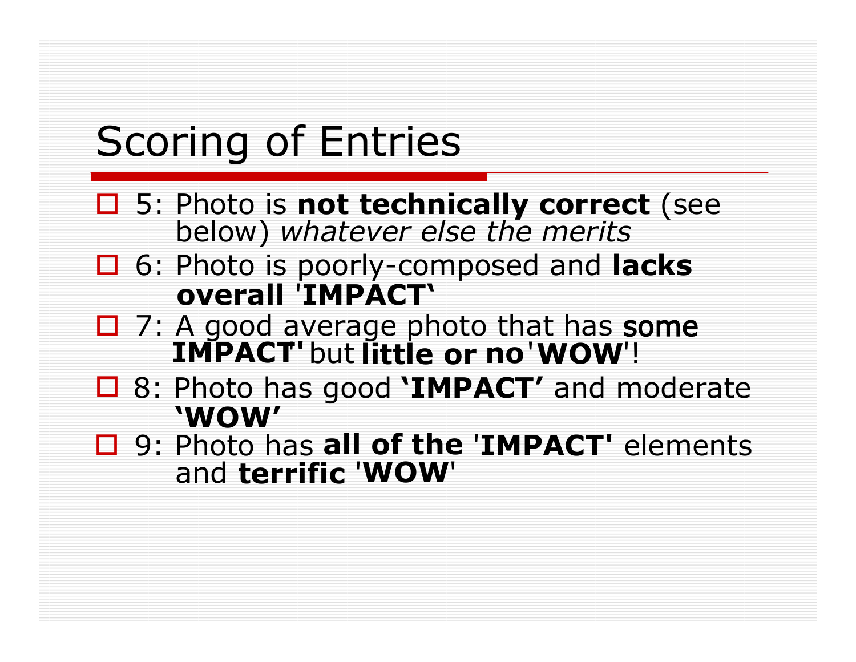# Scoring of Entries

- □ 5: Photo is **not technically correct** (see<br>below) whatever else the merits below) *whatever else the merits*
- 6: Photo is poorly-composed and **lacks overall** '**IMPACT'**
- 7: A good average photo that has some **IMPACT'**' but **little or no**'**WOW**'!
- 8: Photo has good **'IMPACT'** and moderate **'WOW'**
- and **terrific** '**WOW**'□ 9: Photo has **all of the 'IMPACT'** elements<br>and **terrific 'WOW'**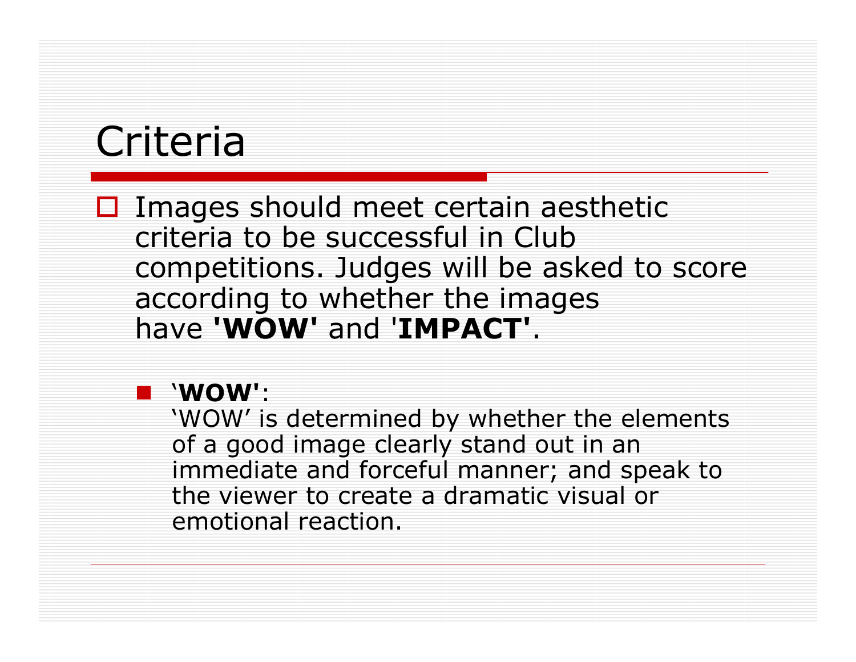## Criteria

□ Images should meet certain aesthetic<br>criteria to be successful in Club criteria to be successful in Club competitions. Judges will be asked to score<br>according to whether the images according to whether the images have **'WOW'** and '**IMPACT'**.

### '**WOW'**:

'WOW' is determined by whether the elements of a good image clearly stand out in an immediate and forceful manner; and speak to the viewer to create a dramatic visual or emotional reaction.